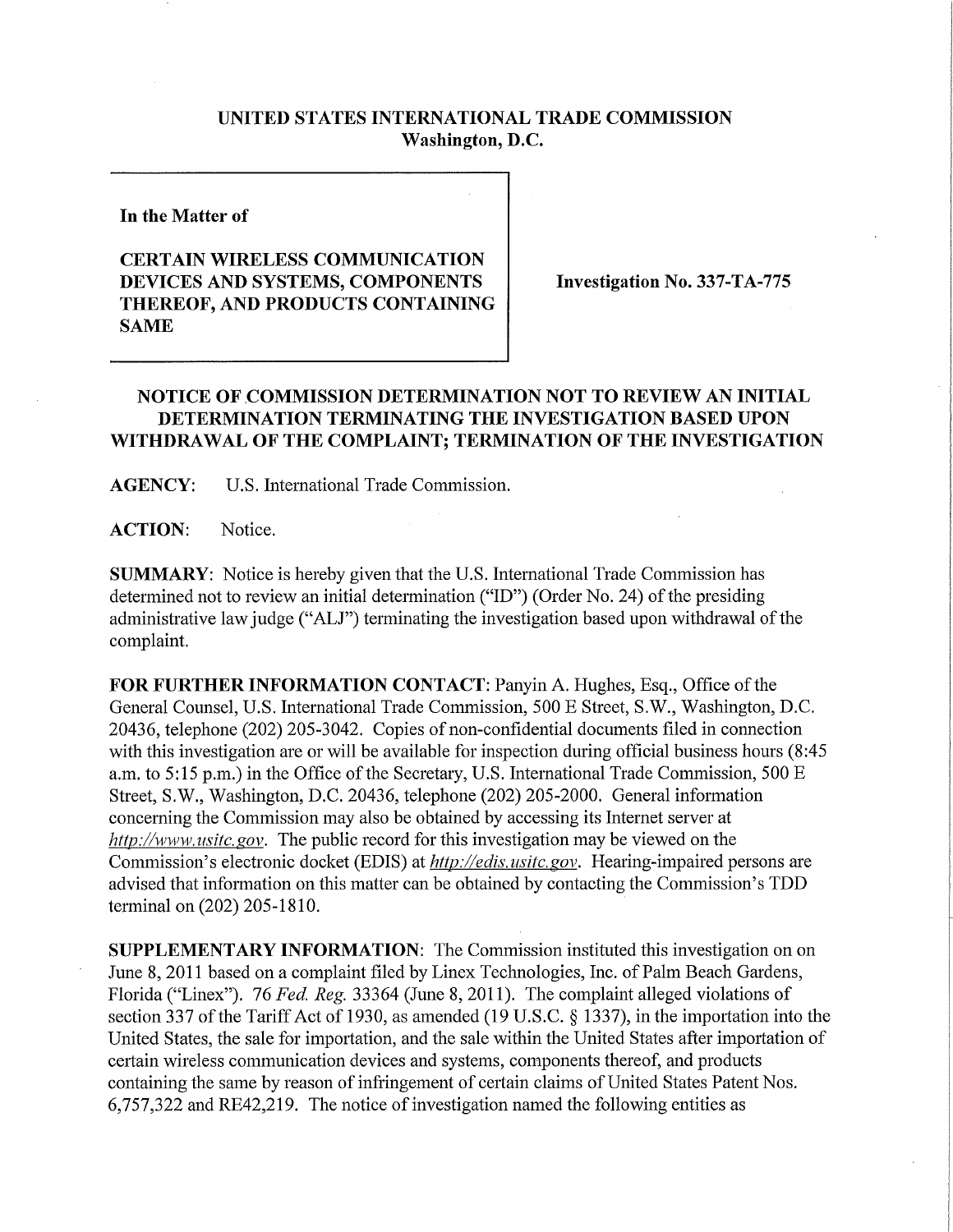## **UNITED STATES INTERNATIONAL TRADE COMMISSION Washington, D.C.**

**In the Matter of** 

## **CERTAIN WIRELES S COMMUNICATION DEVICES AND SYSTEMS, COMPONENTS THEREOF, AND PRODUCTS CONTAINING SAME**

**Investigation No. 337-TA-775** 

## **NOTICE OF COMMISSION DETERMINATION NOT TO REVIEW AN INITIAL DETERMINATION TERMINATING THE INVESTIGATION BASED UPON WITHDRAWAL OF THE COMPLAINT; TERMINATION OF THE INVESTIGATION**

**AGENCY:** U.S. International Trade Commission.

**ACTION:** Notice.

**SUMMARY:** Notice is hereby given that the U.S. International Trade Commission has determined not to review an initial determination ("ID") (Order No. 24) of the presiding administrative law judge ("ALJ") terminating the investigation based upon withdrawal of the complaint.

FOR FURTHER INFORMATION CONTACT: Panyin A. Hughes, Esq., Office of the General Counsel, U.S. International Trade Commission, 500 E Street, S.W., Washington, D.C. 20436, telephone (202) 205-3042. Copies of non-confidential documents filed in connection with this investigation are or will be available for inspection during official business hours (8:45 a.m. to 5:15 p.m.) in the Office of the Secretary, U.S. International Trade Commission, 500 E Street, S.W., Washington, D.C. 20436, telephone (202) 205-2000. General information concerning the Commission may also be obtained by accessing its Internet server at *http://www. usitc. gov.* The public record for this investigation may be viewed on the Commission's electronic docket (EDIS) at *http://edis.usitc.gov.* Hearing-impaired persons are advised that information on this matter can be obtained by contacting the Commission's TDD terminal on (202) 205-1810.

**SUPPLEMENTARY INFORMATION:** The Commission instituted this investigation on on June 8, 2011 based on a complaint filed by Linex Technologies, Inc. of Palm Beach Gardens, Florida ("Linex"). 76 *Fed. Reg.* 33364 (June 8, 2011). The complaint alleged violations of section 337 of the Tariff Act of 1930, as amended (19 U.S.C. § 1337), in the importation into the United States, the sale for importation, and the sale within the United States after importation of certain wireless communication devices and systems, components thereof, and products containing the same by reason of infringement of certain claims of United States Patent Nos. 6,757,322 and RE42,219. The notice of investigation named the following entities as